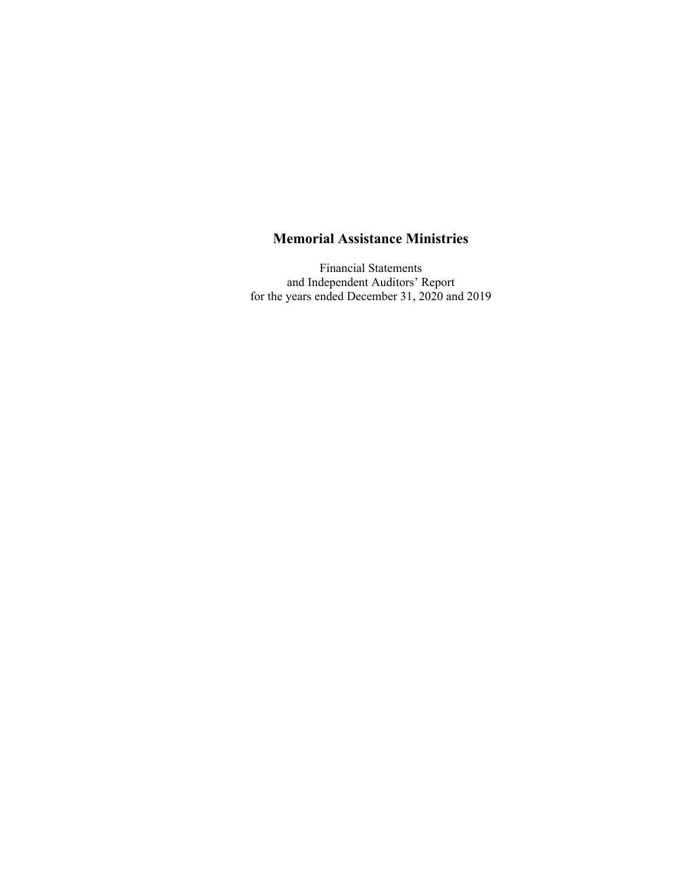Financial Statements and Independent Auditors' Report for the years ended December 31, 2020 and 2019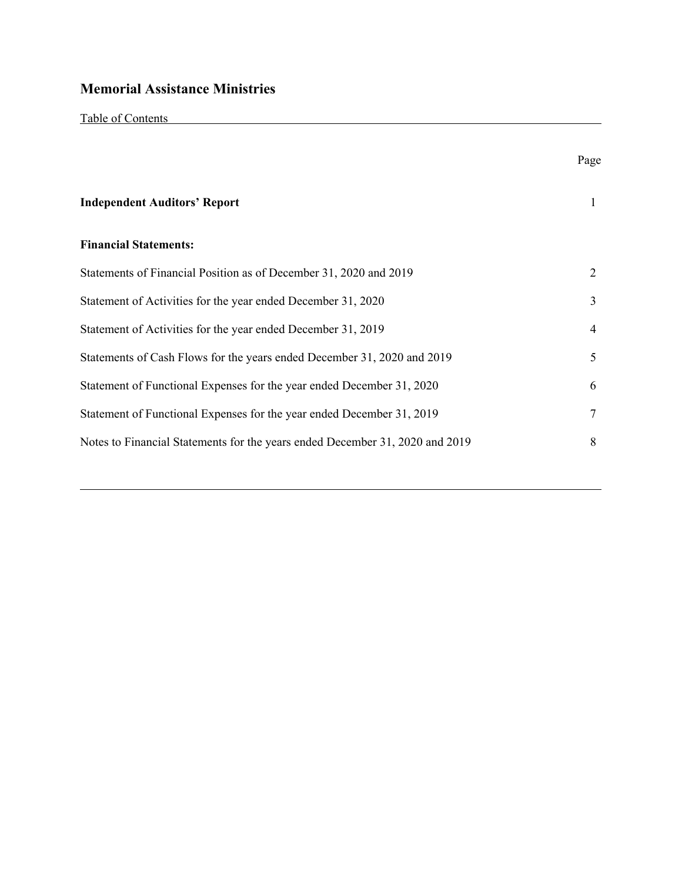|                                                                              | Page |
|------------------------------------------------------------------------------|------|
| <b>Independent Auditors' Report</b>                                          |      |
| <b>Financial Statements:</b>                                                 |      |
| Statements of Financial Position as of December 31, 2020 and 2019            | 2    |
| Statement of Activities for the year ended December 31, 2020                 | 3    |
| Statement of Activities for the year ended December 31, 2019                 | 4    |
| Statements of Cash Flows for the years ended December 31, 2020 and 2019      | 5    |
| Statement of Functional Expenses for the year ended December 31, 2020        | 6    |
| Statement of Functional Expenses for the year ended December 31, 2019        | 7    |
| Notes to Financial Statements for the years ended December 31, 2020 and 2019 | 8    |
|                                                                              |      |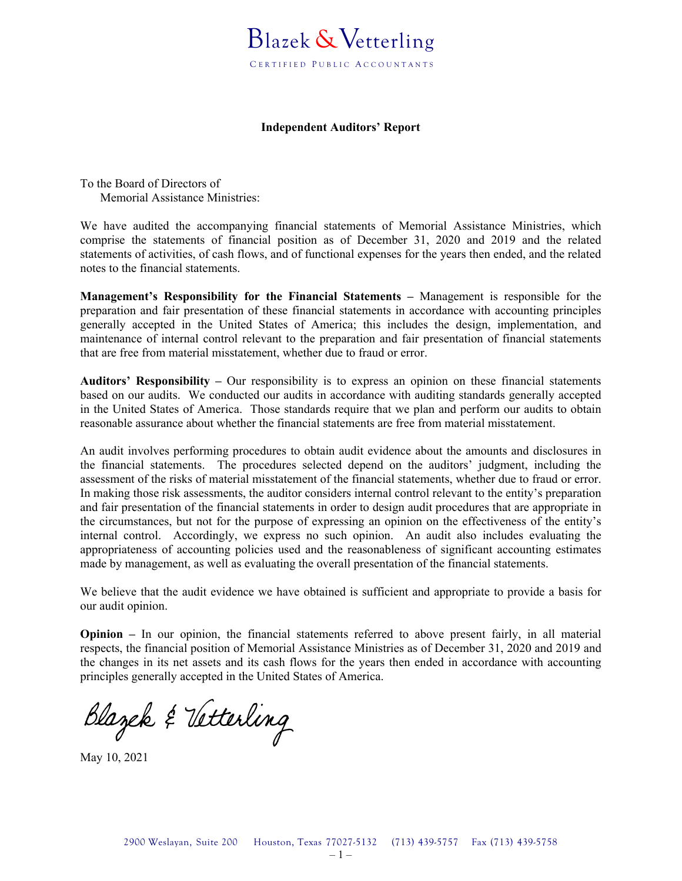

#### **Independent Auditors' Report**

To the Board of Directors of Memorial Assistance Ministries:

We have audited the accompanying financial statements of Memorial Assistance Ministries, which comprise the statements of financial position as of December 31, 2020 and 2019 and the related statements of activities, of cash flows, and of functional expenses for the years then ended, and the related notes to the financial statements.

**Management's Responsibility for the Financial Statements –** Management is responsible for the preparation and fair presentation of these financial statements in accordance with accounting principles generally accepted in the United States of America; this includes the design, implementation, and maintenance of internal control relevant to the preparation and fair presentation of financial statements that are free from material misstatement, whether due to fraud or error.

**Auditors' Responsibility –** Our responsibility is to express an opinion on these financial statements based on our audits. We conducted our audits in accordance with auditing standards generally accepted in the United States of America. Those standards require that we plan and perform our audits to obtain reasonable assurance about whether the financial statements are free from material misstatement.

An audit involves performing procedures to obtain audit evidence about the amounts and disclosures in the financial statements. The procedures selected depend on the auditors' judgment, including the assessment of the risks of material misstatement of the financial statements, whether due to fraud or error. In making those risk assessments, the auditor considers internal control relevant to the entity's preparation and fair presentation of the financial statements in order to design audit procedures that are appropriate in the circumstances, but not for the purpose of expressing an opinion on the effectiveness of the entity's internal control. Accordingly, we express no such opinion. An audit also includes evaluating the appropriateness of accounting policies used and the reasonableness of significant accounting estimates made by management, as well as evaluating the overall presentation of the financial statements.

We believe that the audit evidence we have obtained is sufficient and appropriate to provide a basis for our audit opinion.

**Opinion –** In our opinion, the financial statements referred to above present fairly, in all material respects, the financial position of Memorial Assistance Ministries as of December 31, 2020 and 2019 and the changes in its net assets and its cash flows for the years then ended in accordance with accounting principles generally accepted in the United States of America.

Blazek & Vetterling

May 10, 2021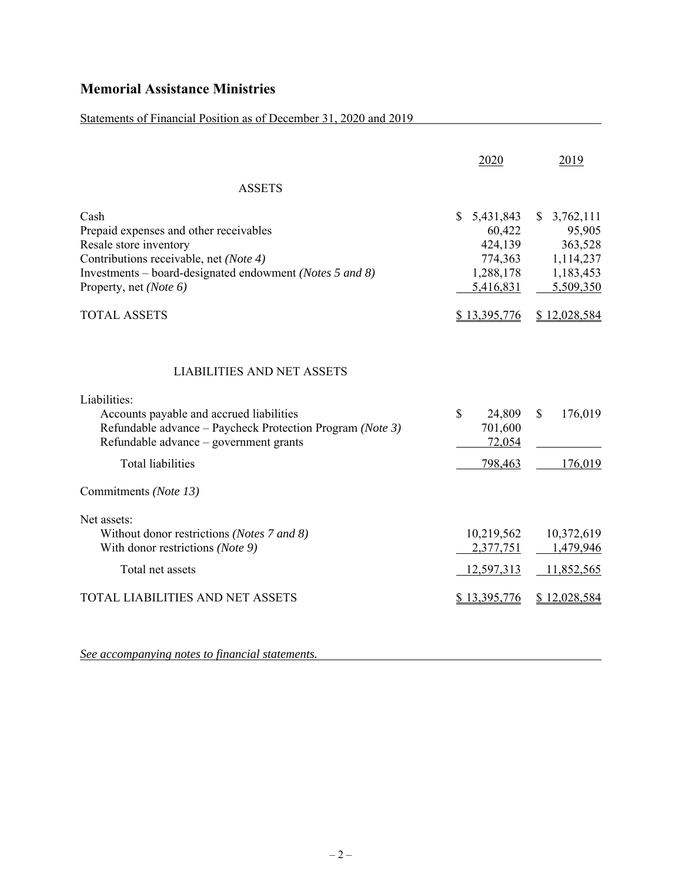## Statements of Financial Position as of December 31, 2020 and 2019

|                                                                                                                                                                                                          | 2020                                                                                 | 2019                                                                                  |
|----------------------------------------------------------------------------------------------------------------------------------------------------------------------------------------------------------|--------------------------------------------------------------------------------------|---------------------------------------------------------------------------------------|
| <b>ASSETS</b>                                                                                                                                                                                            |                                                                                      |                                                                                       |
| Cash<br>Prepaid expenses and other receivables<br>Resale store inventory<br>Contributions receivable, net (Note 4)<br>Investments – board-designated endowment (Notes 5 and 8)<br>Property, net (Note 6) | <sup>\$</sup><br>5,431,843<br>60,422<br>424,139<br>774,363<br>1,288,178<br>5,416,831 | 3,762,111<br><sup>S</sup><br>95,905<br>363,528<br>1,114,237<br>1,183,453<br>5,509,350 |
| <b>TOTAL ASSETS</b>                                                                                                                                                                                      | \$13,395,776                                                                         | \$12,028,584                                                                          |
| <b>LIABILITIES AND NET ASSETS</b><br>Liabilities:<br>Accounts payable and accrued liabilities<br>Refundable advance – Paycheck Protection Program (Note 3)<br>Refundable advance – government grants     | $\mathbb{S}$<br>24,809<br>701,600<br>72,054                                          | $\mathbb{S}$<br>176,019                                                               |
| <b>Total liabilities</b>                                                                                                                                                                                 | 798,463                                                                              | 176,019                                                                               |
| Commitments (Note 13)                                                                                                                                                                                    |                                                                                      |                                                                                       |
| Net assets:<br>Without donor restrictions (Notes 7 and 8)<br>With donor restrictions (Note 9)<br>Total net assets                                                                                        | 10,219,562<br>2,377,751<br>12,597,313                                                | 10,372,619<br>1,479,946<br>11,852,565                                                 |
| TOTAL LIABILITIES AND NET ASSETS                                                                                                                                                                         | \$13,395,776                                                                         | \$12,028,584                                                                          |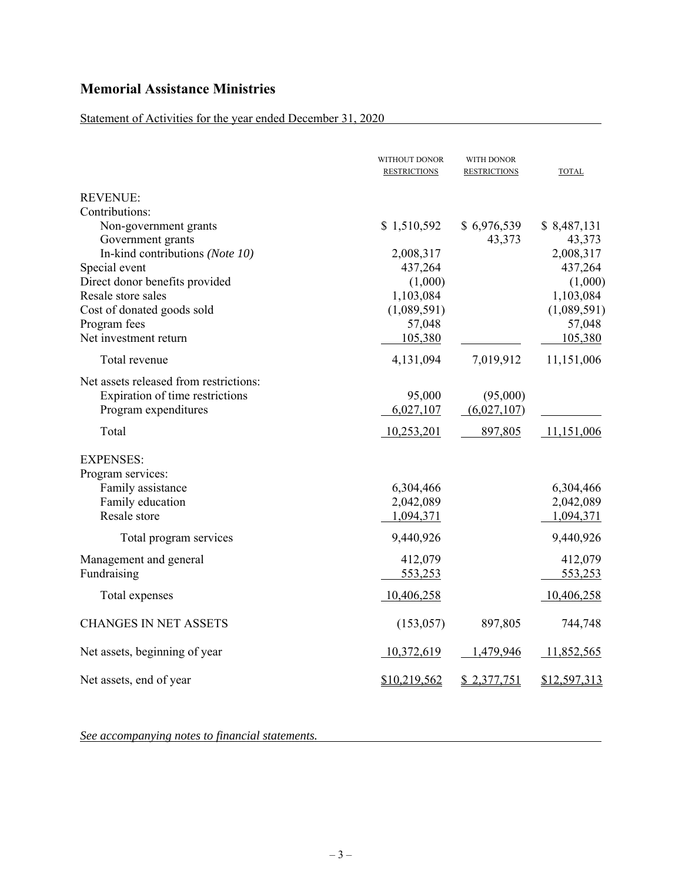### Statement of Activities for the year ended December 31, 2020

|                                        | WITHOUT DONOR<br><b>RESTRICTIONS</b> | WITH DONOR<br><b>RESTRICTIONS</b> | <b>TOTAL</b> |
|----------------------------------------|--------------------------------------|-----------------------------------|--------------|
| <b>REVENUE:</b>                        |                                      |                                   |              |
| Contributions:                         |                                      |                                   |              |
| Non-government grants                  | \$1,510,592                          | \$6,976,539                       | \$8,487,131  |
| Government grants                      |                                      | 43,373                            | 43,373       |
| In-kind contributions (Note 10)        | 2,008,317                            |                                   | 2,008,317    |
| Special event                          | 437,264                              |                                   | 437,264      |
| Direct donor benefits provided         | (1,000)                              |                                   | (1,000)      |
| Resale store sales                     | 1,103,084                            |                                   | 1,103,084    |
| Cost of donated goods sold             | (1,089,591)                          |                                   | (1,089,591)  |
| Program fees                           | 57,048                               |                                   | 57,048       |
| Net investment return                  | 105,380                              |                                   | 105,380      |
| Total revenue                          | 4,131,094                            | 7,019,912                         | 11,151,006   |
| Net assets released from restrictions: |                                      |                                   |              |
| Expiration of time restrictions        | 95,000                               | (95,000)                          |              |
| Program expenditures                   | 6,027,107                            | (6,027,107)                       |              |
| Total                                  | 10,253,201                           | 897,805                           | 11,151,006   |
| <b>EXPENSES:</b>                       |                                      |                                   |              |
| Program services:                      |                                      |                                   |              |
| Family assistance                      | 6,304,466                            |                                   | 6,304,466    |
| Family education                       | 2,042,089                            |                                   | 2,042,089    |
| Resale store                           | 1,094,371                            |                                   | 1,094,371    |
| Total program services                 | 9,440,926                            |                                   | 9,440,926    |
| Management and general                 | 412,079                              |                                   | 412,079      |
| Fundraising                            | 553,253                              |                                   | 553,253      |
| Total expenses                         | 10,406,258                           |                                   | 10,406,258   |
|                                        |                                      |                                   |              |
| <b>CHANGES IN NET ASSETS</b>           | (153, 057)                           | 897,805                           | 744,748      |
| Net assets, beginning of year          | 10,372,619                           | 1,479,946                         | 11,852,565   |
| Net assets, end of year                | \$10,219,562                         | \$2,377,751                       | \$12,597,313 |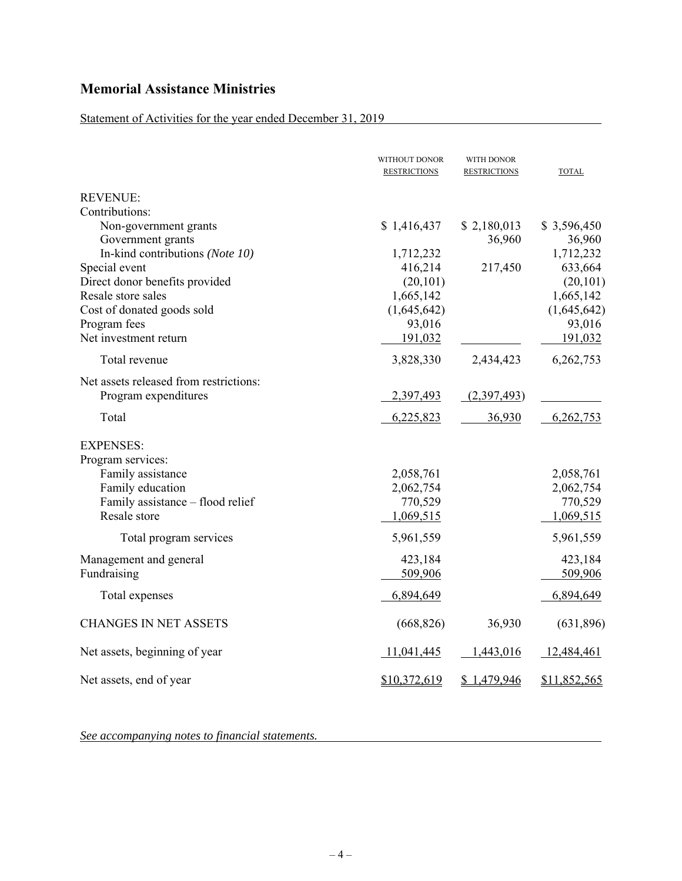### Statement of Activities for the year ended December 31, 2019

|                                        | WITHOUT DONOR<br><b>RESTRICTIONS</b> | WITH DONOR<br><b>RESTRICTIONS</b> | <b>TOTAL</b> |
|----------------------------------------|--------------------------------------|-----------------------------------|--------------|
| <b>REVENUE:</b>                        |                                      |                                   |              |
| Contributions:                         |                                      |                                   |              |
| Non-government grants                  | \$1,416,437                          | \$2,180,013                       | \$3,596,450  |
| Government grants                      |                                      | 36,960                            | 36,960       |
| In-kind contributions (Note 10)        | 1,712,232                            |                                   | 1,712,232    |
| Special event                          | 416,214                              | 217,450                           | 633,664      |
| Direct donor benefits provided         | (20, 101)                            |                                   | (20, 101)    |
| Resale store sales                     | 1,665,142                            |                                   | 1,665,142    |
| Cost of donated goods sold             | (1,645,642)                          |                                   | (1,645,642)  |
| Program fees                           | 93,016                               |                                   | 93,016       |
| Net investment return                  | 191,032                              |                                   | 191,032      |
| Total revenue                          | 3,828,330                            | 2,434,423                         | 6,262,753    |
| Net assets released from restrictions: |                                      |                                   |              |
| Program expenditures                   | 2,397,493                            | (2,397,493)                       |              |
| Total                                  | 6,225,823                            | 36,930                            | 6,262,753    |
| <b>EXPENSES:</b>                       |                                      |                                   |              |
| Program services:                      |                                      |                                   |              |
| Family assistance                      | 2,058,761                            |                                   | 2,058,761    |
| Family education                       | 2,062,754                            |                                   | 2,062,754    |
| Family assistance - flood relief       | 770,529                              |                                   | 770,529      |
| Resale store                           | 1,069,515                            |                                   | 1,069,515    |
| Total program services                 | 5,961,559                            |                                   | 5,961,559    |
| Management and general                 | 423,184                              |                                   | 423,184      |
| Fundraising                            | 509,906                              |                                   | 509,906      |
| Total expenses                         | 6,894,649                            |                                   | 6,894,649    |
| <b>CHANGES IN NET ASSETS</b>           | (668, 826)                           | 36,930                            | (631,896)    |
| Net assets, beginning of year          | 11,041,445                           | 1,443,016                         | 12,484,461   |
| Net assets, end of year                | \$10,372,619                         | \$1,479,946                       | \$11,852,565 |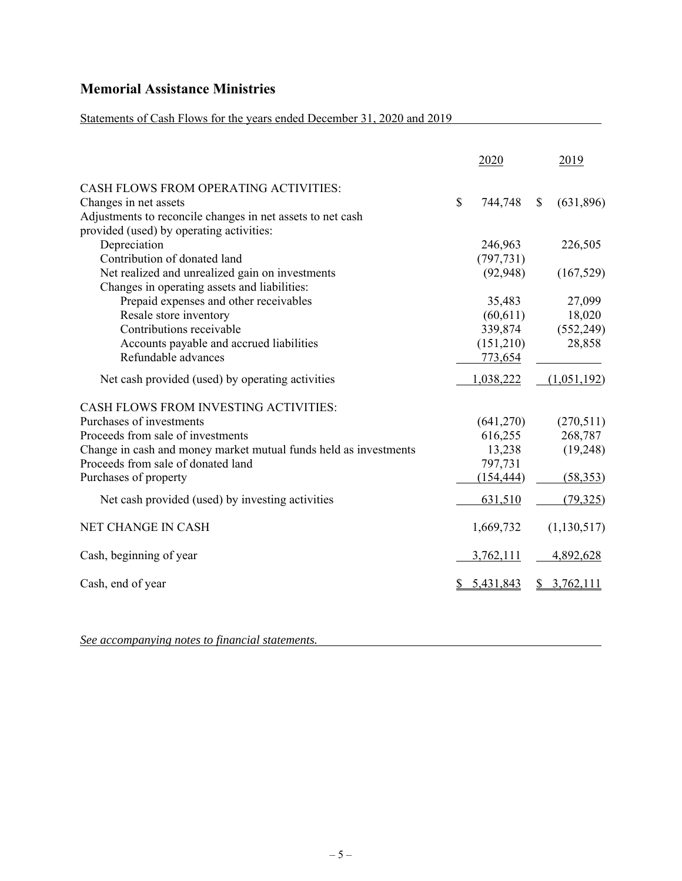### Statements of Cash Flows for the years ended December 31, 2020 and 2019

|                                                                  |               | 2020       |               | 2019             |
|------------------------------------------------------------------|---------------|------------|---------------|------------------|
| CASH FLOWS FROM OPERATING ACTIVITIES:                            |               |            |               |                  |
| Changes in net assets                                            | $\mathcal{S}$ | 744,748    | <sup>\$</sup> | (631,896)        |
| Adjustments to reconcile changes in net assets to net cash       |               |            |               |                  |
| provided (used) by operating activities:                         |               |            |               |                  |
| Depreciation                                                     |               | 246,963    |               | 226,505          |
| Contribution of donated land                                     |               | (797, 731) |               |                  |
| Net realized and unrealized gain on investments                  |               | (92, 948)  |               | (167, 529)       |
| Changes in operating assets and liabilities:                     |               |            |               |                  |
| Prepaid expenses and other receivables                           |               | 35,483     |               | 27,099           |
| Resale store inventory<br>Contributions receivable               |               | (60, 611)  |               | 18,020           |
|                                                                  |               | 339,874    |               | (552, 249)       |
| Accounts payable and accrued liabilities<br>Refundable advances  |               | (151,210)  |               | 28,858           |
|                                                                  |               | 773,654    |               |                  |
| Net cash provided (used) by operating activities                 |               | 1,038,222  |               | (1,051,192)      |
| CASH FLOWS FROM INVESTING ACTIVITIES:                            |               |            |               |                  |
| Purchases of investments                                         |               | (641,270)  |               | (270,511)        |
| Proceeds from sale of investments                                |               | 616,255    |               | 268,787          |
| Change in cash and money market mutual funds held as investments |               | 13,238     |               | (19,248)         |
| Proceeds from sale of donated land                               |               | 797,731    |               |                  |
| Purchases of property                                            |               | (154, 444) |               | (58, 353)        |
| Net cash provided (used) by investing activities                 |               | 631,510    |               | (79,325)         |
| <b>NET CHANGE IN CASH</b>                                        |               | 1,669,732  |               | (1, 130, 517)    |
| Cash, beginning of year                                          |               | 3,762,111  |               | 4,892,628        |
| Cash, end of year                                                |               | 5,431,843  | S.            | <u>3,762,111</u> |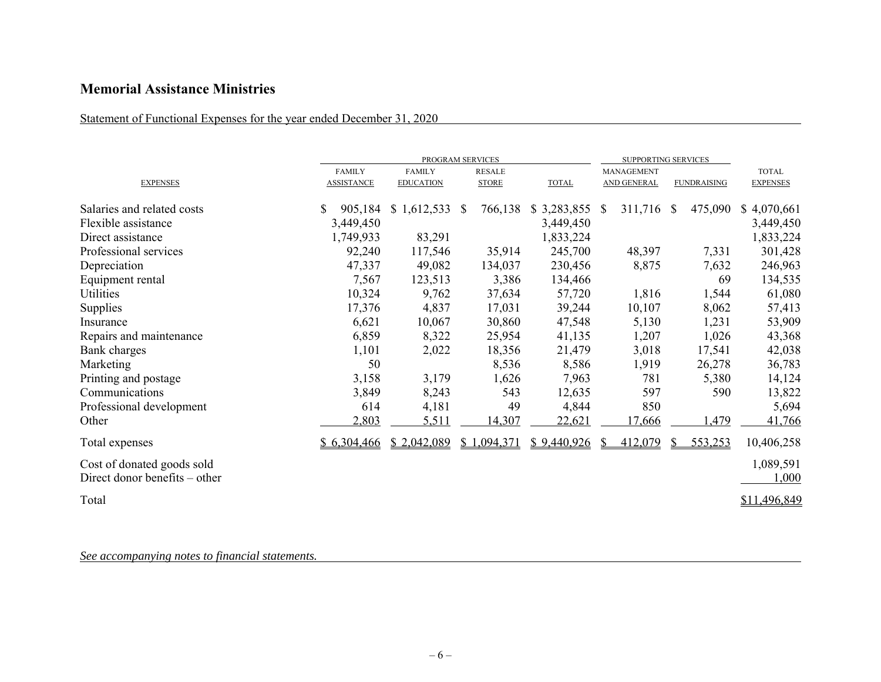### Statement of Functional Expenses for the year ended December 31, 2020

|                                                               |                   | PROGRAM SERVICES | <b>SUPPORTING SERVICES</b> |              |                   |                         |                    |
|---------------------------------------------------------------|-------------------|------------------|----------------------------|--------------|-------------------|-------------------------|--------------------|
|                                                               | <b>FAMILY</b>     | <b>FAMILY</b>    | <b>RESALE</b>              |              | <b>MANAGEMENT</b> |                         | <b>TOTAL</b>       |
| <b>EXPENSES</b>                                               | <b>ASSISTANCE</b> | <b>EDUCATION</b> | <b>STORE</b>               | <b>TOTAL</b> | AND GENERAL       | <b>FUNDRAISING</b>      | <b>EXPENSES</b>    |
| Salaries and related costs                                    | \$<br>905,184     | \$1,612,533      | 766,138<br><sup>S</sup>    | \$3,283,855  | 311,716<br>S      | 475,090<br><sup>S</sup> | \$4,070,661        |
| Flexible assistance                                           | 3,449,450         |                  |                            | 3,449,450    |                   |                         | 3,449,450          |
| Direct assistance                                             | 1,749,933         | 83,291           |                            | 1,833,224    |                   |                         | 1,833,224          |
| Professional services                                         | 92,240            | 117,546          | 35,914                     | 245,700      | 48,397            | 7,331                   | 301,428            |
| Depreciation                                                  | 47,337            | 49,082           | 134,037                    | 230,456      | 8,875             | 7,632                   | 246,963            |
| Equipment rental                                              | 7,567             | 123,513          | 3,386                      | 134,466      |                   | 69                      | 134,535            |
| <b>Utilities</b>                                              | 10,324            | 9,762            | 37,634                     | 57,720       | 1,816             | 1,544                   | 61,080             |
| Supplies                                                      | 17,376            | 4,837            | 17,031                     | 39,244       | 10,107            | 8,062                   | 57,413             |
| Insurance                                                     | 6,621             | 10,067           | 30,860                     | 47,548       | 5,130             | 1,231                   | 53,909             |
| Repairs and maintenance                                       | 6,859             | 8,322            | 25,954                     | 41,135       | 1,207             | 1,026                   | 43,368             |
| Bank charges                                                  | 1,101             | 2,022            | 18,356                     | 21,479       | 3,018             | 17,541                  | 42,038             |
| Marketing                                                     | 50                |                  | 8,536                      | 8,586        | 1,919             | 26,278                  | 36,783             |
| Printing and postage                                          | 3,158             | 3,179            | 1,626                      | 7,963        | 781               | 5,380                   | 14,124             |
| Communications                                                | 3,849             | 8,243            | 543                        | 12,635       | 597               | 590                     | 13,822             |
| Professional development                                      | 614               | 4,181            | 49                         | 4,844        | 850               |                         | 5,694              |
| Other                                                         | 2,803             | 5,511            | 14,307                     | 22,621       | 17,666            | ,479                    | 41,766             |
| Total expenses                                                | \$6,304,466       | \$2,042,089      | \$1,094,371                | \$9,440,926  | 412,079           | 553,253<br>S.           | 10,406,258         |
| Cost of donated goods sold<br>Direct donor benefits $-$ other |                   |                  |                            |              |                   |                         | 1,089,591<br>1,000 |
| Total                                                         |                   |                  |                            |              |                   |                         | \$11,496,849       |

*See accompanying notes to financial statements.* 

<u> 1980 - Johann Stoff, deutscher Stoff, der Stoff, deutscher Stoff, der Stoff, der Stoff, der Stoff, der Stoff</u>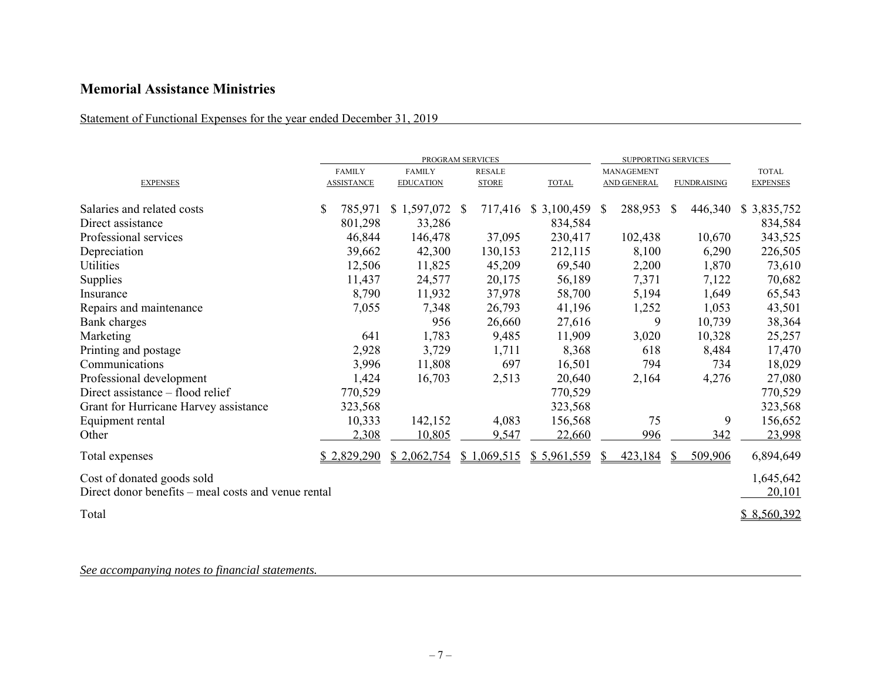Statement of Functional Expenses for the year ended December 31, 2019

|                                                     | PROGRAM SERVICES |                   |  |                  |  | SUPPORTING SERVICES |              |    |                   |              |                    |                 |
|-----------------------------------------------------|------------------|-------------------|--|------------------|--|---------------------|--------------|----|-------------------|--------------|--------------------|-----------------|
|                                                     |                  | <b>FAMILY</b>     |  | <b>FAMILY</b>    |  | <b>RESALE</b>       |              |    | <b>MANAGEMENT</b> |              |                    | <b>TOTAL</b>    |
| <b>EXPENSES</b>                                     |                  | <b>ASSISTANCE</b> |  | <b>EDUCATION</b> |  | <b>STORE</b>        | <b>TOTAL</b> |    | AND GENERAL       |              | <b>FUNDRAISING</b> | <b>EXPENSES</b> |
| Salaries and related costs                          | \$.              | 785,971           |  | $$1,597,072$ \;  |  | 717,416             | \$3,100,459  | -S | 288,953           | <sup>S</sup> | 446,340            | \$3,835,752     |
| Direct assistance                                   |                  | 801,298           |  | 33,286           |  |                     | 834,584      |    |                   |              |                    | 834,584         |
| Professional services                               |                  | 46,844            |  | 146,478          |  | 37,095              | 230,417      |    | 102,438           |              | 10,670             | 343,525         |
| Depreciation                                        |                  | 39,662            |  | 42,300           |  | 130,153             | 212,115      |    | 8,100             |              | 6,290              | 226,505         |
| Utilities                                           |                  | 12,506            |  | 11,825           |  | 45,209              | 69,540       |    | 2,200             |              | 1,870              | 73,610          |
| Supplies                                            |                  | 11,437            |  | 24,577           |  | 20,175              | 56,189       |    | 7,371             |              | 7,122              | 70,682          |
| Insurance                                           |                  | 8,790             |  | 11,932           |  | 37,978              | 58,700       |    | 5,194             |              | 1,649              | 65,543          |
| Repairs and maintenance                             |                  | 7,055             |  | 7,348            |  | 26,793              | 41,196       |    | 1,252             |              | 1,053              | 43,501          |
| Bank charges                                        |                  |                   |  | 956              |  | 26,660              | 27,616       |    | 9                 |              | 10,739             | 38,364          |
| Marketing                                           |                  | 641               |  | 1,783            |  | 9,485               | 11,909       |    | 3,020             |              | 10,328             | 25,257          |
| Printing and postage                                |                  | 2,928             |  | 3,729            |  | 1,711               | 8,368        |    | 618               |              | 8,484              | 17,470          |
| Communications                                      |                  | 3,996             |  | 11,808           |  | 697                 | 16,501       |    | 794               |              | 734                | 18,029          |
| Professional development                            |                  | 1,424             |  | 16,703           |  | 2,513               | 20,640       |    | 2,164             |              | 4,276              | 27,080          |
| Direct assistance – flood relief                    |                  | 770,529           |  |                  |  |                     | 770,529      |    |                   |              |                    | 770,529         |
| Grant for Hurricane Harvey assistance               |                  | 323,568           |  |                  |  |                     | 323,568      |    |                   |              |                    | 323,568         |
| Equipment rental                                    |                  | 10,333            |  | 142,152          |  | 4,083               | 156,568      |    | 75                |              | 9                  | 156,652         |
| Other                                               |                  | 2,308             |  | 10,805           |  | 9,547               | 22,660       |    | 996               |              | 342                | 23,998          |
| Total expenses                                      |                  | \$2,829,290       |  | \$2,062,754      |  | \$1,069,515         | \$5,961,559  | S. | 423,184           |              | 509,906            | 6,894,649       |
| Cost of donated goods sold                          |                  |                   |  |                  |  |                     |              |    |                   |              |                    | 1,645,642       |
| Direct donor benefits – meal costs and venue rental |                  |                   |  |                  |  |                     |              |    |                   |              |                    | 20,101          |
| Total                                               |                  |                   |  |                  |  |                     |              |    |                   |              |                    | \$8,560,392     |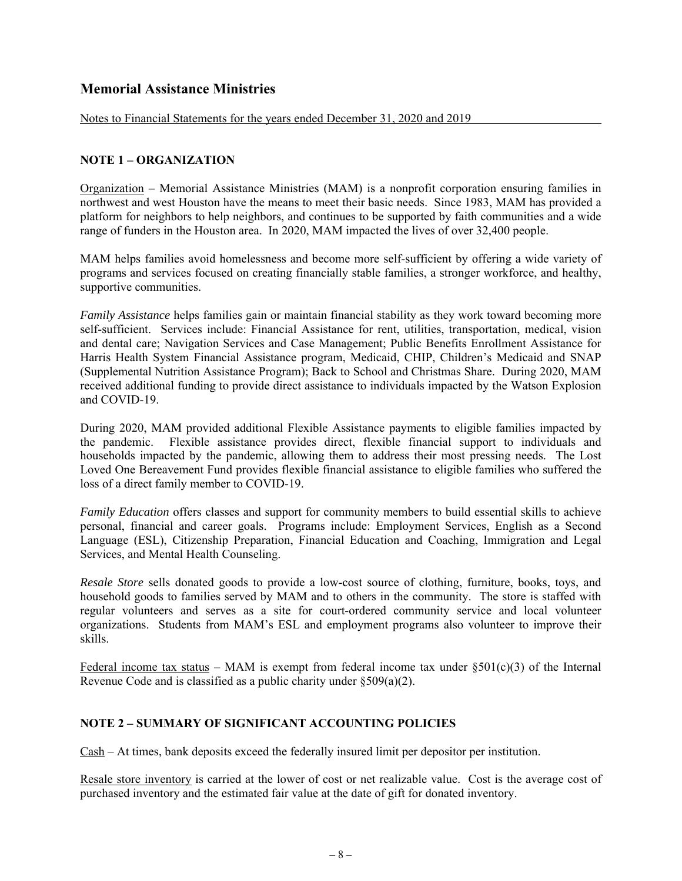Notes to Financial Statements for the years ended December 31, 2020 and 2019

#### **NOTE 1 – ORGANIZATION**

Organization – Memorial Assistance Ministries (MAM) is a nonprofit corporation ensuring families in northwest and west Houston have the means to meet their basic needs. Since 1983, MAM has provided a platform for neighbors to help neighbors, and continues to be supported by faith communities and a wide range of funders in the Houston area. In 2020, MAM impacted the lives of over 32,400 people.

MAM helps families avoid homelessness and become more self-sufficient by offering a wide variety of programs and services focused on creating financially stable families, a stronger workforce, and healthy, supportive communities.

*Family Assistance* helps families gain or maintain financial stability as they work toward becoming more self-sufficient. Services include: Financial Assistance for rent, utilities, transportation, medical, vision and dental care; Navigation Services and Case Management; Public Benefits Enrollment Assistance for Harris Health System Financial Assistance program, Medicaid, CHIP, Children's Medicaid and SNAP (Supplemental Nutrition Assistance Program); Back to School and Christmas Share. During 2020, MAM received additional funding to provide direct assistance to individuals impacted by the Watson Explosion and COVID-19.

During 2020, MAM provided additional Flexible Assistance payments to eligible families impacted by the pandemic. Flexible assistance provides direct, flexible financial support to individuals and households impacted by the pandemic, allowing them to address their most pressing needs. The Lost Loved One Bereavement Fund provides flexible financial assistance to eligible families who suffered the loss of a direct family member to COVID-19.

*Family Education* offers classes and support for community members to build essential skills to achieve personal, financial and career goals. Programs include: Employment Services, English as a Second Language (ESL), Citizenship Preparation, Financial Education and Coaching, Immigration and Legal Services, and Mental Health Counseling.

*Resale Store* sells donated goods to provide a low-cost source of clothing, furniture, books, toys, and household goods to families served by MAM and to others in the community. The store is staffed with regular volunteers and serves as a site for court-ordered community service and local volunteer organizations. Students from MAM's ESL and employment programs also volunteer to improve their skills.

Federal income tax status – MAM is exempt from federal income tax under  $\S501(c)(3)$  of the Internal Revenue Code and is classified as a public charity under  $\S509(a)(2)$ .

#### **NOTE 2 – SUMMARY OF SIGNIFICANT ACCOUNTING POLICIES**

Cash – At times, bank deposits exceed the federally insured limit per depositor per institution.

Resale store inventory is carried at the lower of cost or net realizable value. Cost is the average cost of purchased inventory and the estimated fair value at the date of gift for donated inventory.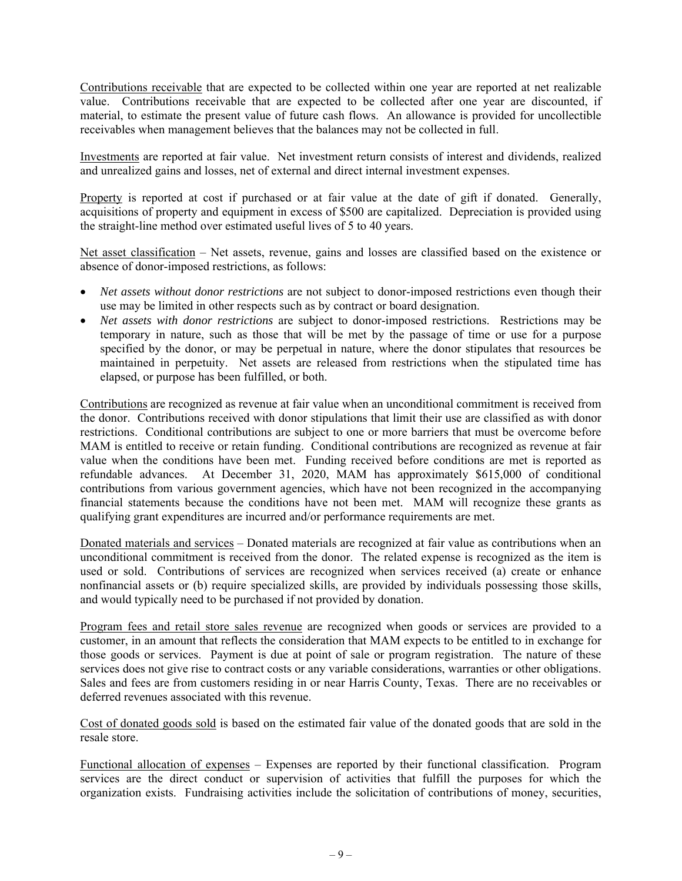Contributions receivable that are expected to be collected within one year are reported at net realizable value. Contributions receivable that are expected to be collected after one year are discounted, if material, to estimate the present value of future cash flows. An allowance is provided for uncollectible receivables when management believes that the balances may not be collected in full.

Investments are reported at fair value. Net investment return consists of interest and dividends, realized and unrealized gains and losses, net of external and direct internal investment expenses.

Property is reported at cost if purchased or at fair value at the date of gift if donated. Generally, acquisitions of property and equipment in excess of \$500 are capitalized. Depreciation is provided using the straight-line method over estimated useful lives of 5 to 40 years.

Net asset classification – Net assets, revenue, gains and losses are classified based on the existence or absence of donor-imposed restrictions, as follows:

- *Net assets without donor restrictions* are not subject to donor-imposed restrictions even though their use may be limited in other respects such as by contract or board designation.
- *Net assets with donor restrictions* are subject to donor-imposed restrictions. Restrictions may be temporary in nature, such as those that will be met by the passage of time or use for a purpose specified by the donor, or may be perpetual in nature, where the donor stipulates that resources be maintained in perpetuity. Net assets are released from restrictions when the stipulated time has elapsed, or purpose has been fulfilled, or both.

Contributions are recognized as revenue at fair value when an unconditional commitment is received from the donor. Contributions received with donor stipulations that limit their use are classified as with donor restrictions. Conditional contributions are subject to one or more barriers that must be overcome before MAM is entitled to receive or retain funding. Conditional contributions are recognized as revenue at fair value when the conditions have been met. Funding received before conditions are met is reported as refundable advances. At December 31, 2020, MAM has approximately \$615,000 of conditional contributions from various government agencies, which have not been recognized in the accompanying financial statements because the conditions have not been met. MAM will recognize these grants as qualifying grant expenditures are incurred and/or performance requirements are met.

Donated materials and services – Donated materials are recognized at fair value as contributions when an unconditional commitment is received from the donor. The related expense is recognized as the item is used or sold. Contributions of services are recognized when services received (a) create or enhance nonfinancial assets or (b) require specialized skills, are provided by individuals possessing those skills, and would typically need to be purchased if not provided by donation.

Program fees and retail store sales revenue are recognized when goods or services are provided to a customer, in an amount that reflects the consideration that MAM expects to be entitled to in exchange for those goods or services. Payment is due at point of sale or program registration. The nature of these services does not give rise to contract costs or any variable considerations, warranties or other obligations. Sales and fees are from customers residing in or near Harris County, Texas. There are no receivables or deferred revenues associated with this revenue.

Cost of donated goods sold is based on the estimated fair value of the donated goods that are sold in the resale store.

Functional allocation of expenses – Expenses are reported by their functional classification. Program services are the direct conduct or supervision of activities that fulfill the purposes for which the organization exists. Fundraising activities include the solicitation of contributions of money, securities,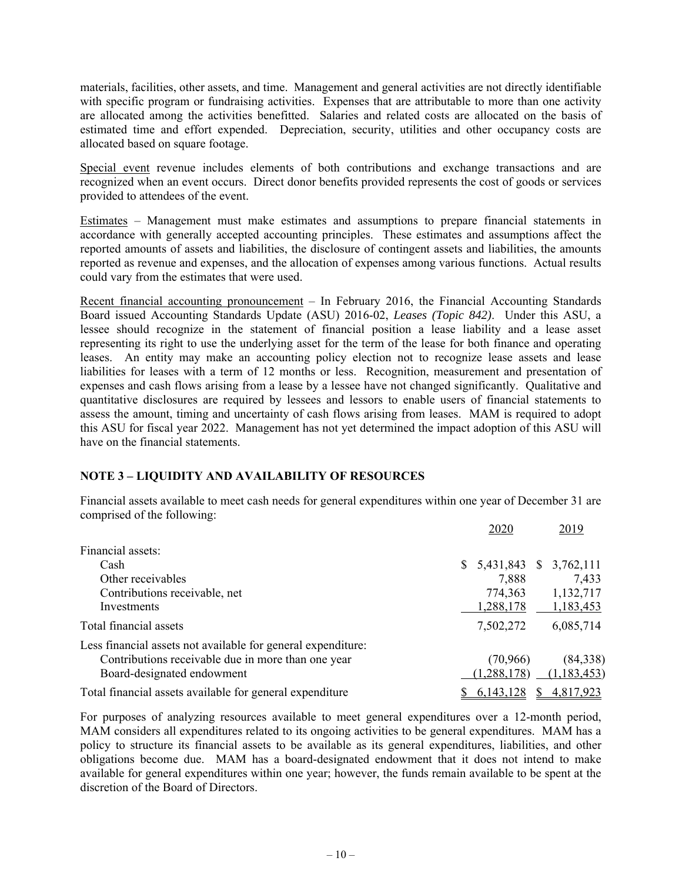materials, facilities, other assets, and time. Management and general activities are not directly identifiable with specific program or fundraising activities. Expenses that are attributable to more than one activity are allocated among the activities benefitted. Salaries and related costs are allocated on the basis of estimated time and effort expended. Depreciation, security, utilities and other occupancy costs are allocated based on square footage.

Special event revenue includes elements of both contributions and exchange transactions and are recognized when an event occurs. Direct donor benefits provided represents the cost of goods or services provided to attendees of the event.

Estimates – Management must make estimates and assumptions to prepare financial statements in accordance with generally accepted accounting principles. These estimates and assumptions affect the reported amounts of assets and liabilities, the disclosure of contingent assets and liabilities, the amounts reported as revenue and expenses, and the allocation of expenses among various functions. Actual results could vary from the estimates that were used.

Recent financial accounting pronouncement – In February 2016, the Financial Accounting Standards Board issued Accounting Standards Update (ASU) 2016-02, *Leases (Topic 842)*. Under this ASU, a lessee should recognize in the statement of financial position a lease liability and a lease asset representing its right to use the underlying asset for the term of the lease for both finance and operating leases. An entity may make an accounting policy election not to recognize lease assets and lease liabilities for leases with a term of 12 months or less. Recognition, measurement and presentation of expenses and cash flows arising from a lease by a lessee have not changed significantly. Qualitative and quantitative disclosures are required by lessees and lessors to enable users of financial statements to assess the amount, timing and uncertainty of cash flows arising from leases. MAM is required to adopt this ASU for fiscal year 2022. Management has not yet determined the impact adoption of this ASU will have on the financial statements.

### **NOTE 3 – LIQUIDITY AND AVAILABILITY OF RESOURCES**

Financial assets available to meet cash needs for general expenditures within one year of December 31 are comprised of the following:

|                                                              | 2020            | 2019             |
|--------------------------------------------------------------|-----------------|------------------|
| Financial assets:                                            |                 |                  |
| Cash                                                         | 5,431,843<br>S. | 3,762,111<br>\$  |
| Other receivables                                            | 7,888           | 7,433            |
| Contributions receivable, net                                | 774,363         | 1,132,717        |
| Investments                                                  | 1,288,178       | 1,183,453        |
| Total financial assets                                       | 7,502,272       | 6,085,714        |
| Less financial assets not available for general expenditure: |                 |                  |
| Contributions receivable due in more than one year           | (70,966)        | (84,338)         |
| Board-designated endowment                                   | (1,288,178)     | (1,183,453)      |
| Total financial assets available for general expenditure     | 6,143,128       | <u>4,817,923</u> |

For purposes of analyzing resources available to meet general expenditures over a 12-month period, MAM considers all expenditures related to its ongoing activities to be general expenditures. MAM has a policy to structure its financial assets to be available as its general expenditures, liabilities, and other obligations become due. MAM has a board-designated endowment that it does not intend to make available for general expenditures within one year; however, the funds remain available to be spent at the discretion of the Board of Directors.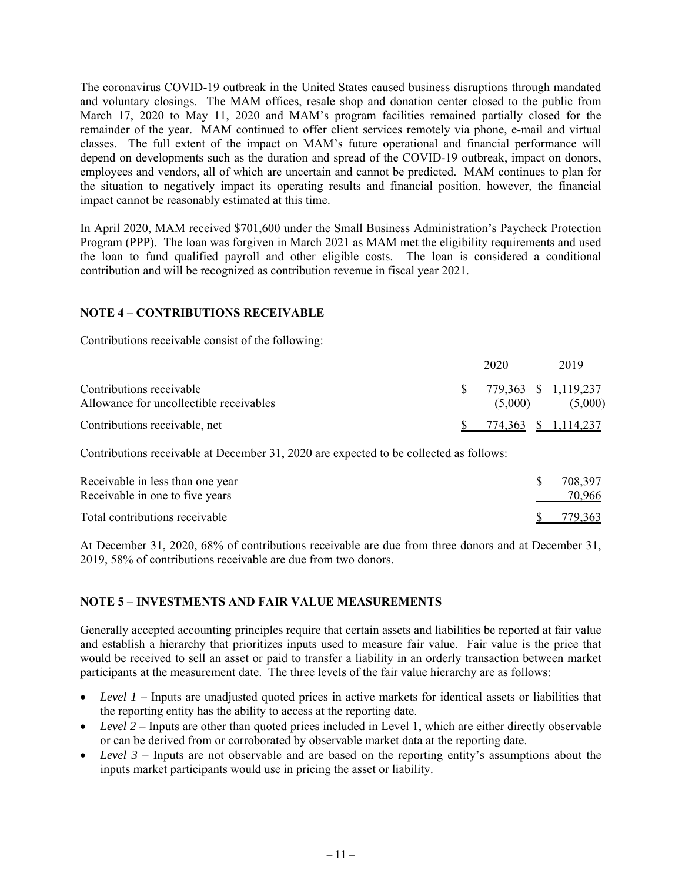The coronavirus COVID-19 outbreak in the United States caused business disruptions through mandated and voluntary closings. The MAM offices, resale shop and donation center closed to the public from March 17, 2020 to May 11, 2020 and MAM's program facilities remained partially closed for the remainder of the year. MAM continued to offer client services remotely via phone, e-mail and virtual classes. The full extent of the impact on MAM's future operational and financial performance will depend on developments such as the duration and spread of the COVID-19 outbreak, impact on donors, employees and vendors, all of which are uncertain and cannot be predicted. MAM continues to plan for the situation to negatively impact its operating results and financial position, however, the financial impact cannot be reasonably estimated at this time.

In April 2020, MAM received \$701,600 under the Small Business Administration's Paycheck Protection Program (PPP). The loan was forgiven in March 2021 as MAM met the eligibility requirements and used the loan to fund qualified payroll and other eligible costs. The loan is considered a conditional contribution and will be recognized as contribution revenue in fiscal year 2021.

#### **NOTE 4 – CONTRIBUTIONS RECEIVABLE**

Contributions receivable consist of the following:

|                                                                     |               | 2020                            | 2019    |
|---------------------------------------------------------------------|---------------|---------------------------------|---------|
| Contributions receivable<br>Allowance for uncollectible receivables | $\mathcal{S}$ | 779,363 \$ 1,119,237<br>(5,000) | (5,000) |
| Contributions receivable, net                                       |               | 774,363 \$ 1,114,237            |         |

Contributions receivable at December 31, 2020 are expected to be collected as follows:

| Receivable in less than one year<br>Receivable in one to five years | 708,397<br>70,966 |
|---------------------------------------------------------------------|-------------------|
| Total contributions receivable                                      | 779.363           |

At December 31, 2020, 68% of contributions receivable are due from three donors and at December 31, 2019, 58% of contributions receivable are due from two donors.

#### **NOTE 5 – INVESTMENTS AND FAIR VALUE MEASUREMENTS**

Generally accepted accounting principles require that certain assets and liabilities be reported at fair value and establish a hierarchy that prioritizes inputs used to measure fair value. Fair value is the price that would be received to sell an asset or paid to transfer a liability in an orderly transaction between market participants at the measurement date. The three levels of the fair value hierarchy are as follows:

- Level 1 Inputs are unadjusted quoted prices in active markets for identical assets or liabilities that the reporting entity has the ability to access at the reporting date.
- Level 2 Inputs are other than quoted prices included in Level 1, which are either directly observable or can be derived from or corroborated by observable market data at the reporting date.
- *Level 3* Inputs are not observable and are based on the reporting entity's assumptions about the inputs market participants would use in pricing the asset or liability.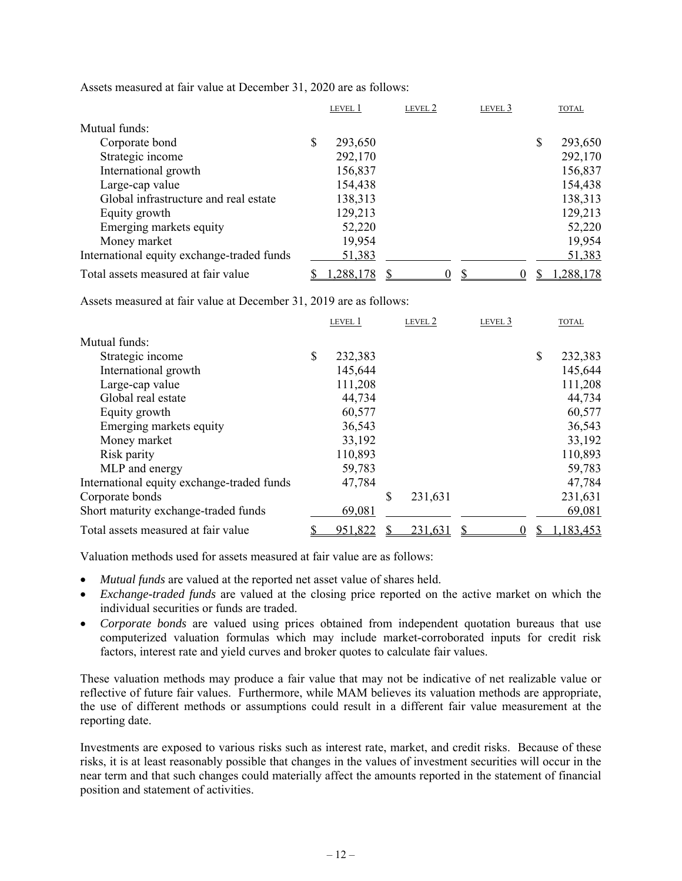Assets measured at fair value at December 31, 2020 are as follows:

|                                            | LEVEL 1       | LEVEL 2 | LEVEL 3 | <b>TOTAL</b>  |
|--------------------------------------------|---------------|---------|---------|---------------|
| Mutual funds:                              |               |         |         |               |
| Corporate bond                             | \$<br>293,650 |         |         | \$<br>293,650 |
| Strategic income                           | 292,170       |         |         | 292,170       |
| International growth                       | 156,837       |         |         | 156,837       |
| Large-cap value                            | 154,438       |         |         | 154,438       |
| Global infrastructure and real estate      | 138,313       |         |         | 138,313       |
| Equity growth                              | 129,213       |         |         | 129,213       |
| Emerging markets equity                    | 52,220        |         |         | 52,220        |
| Money market                               | 19,954        |         |         | 19,954        |
| International equity exchange-traded funds | 51,383        |         |         | 51,383        |
| Total assets measured at fair value        | ,288,178      |         |         | 1,288,178     |

Assets measured at fair value at December 31, 2019 are as follows:

|                                            | LEVEL 1       |     | LEVEL 2 | LEVEL 3 | <b>TOTAL</b>  |
|--------------------------------------------|---------------|-----|---------|---------|---------------|
| Mutual funds:                              |               |     |         |         |               |
| Strategic income                           | \$<br>232,383 |     |         |         | \$<br>232,383 |
| International growth                       | 145,644       |     |         |         | 145,644       |
| Large-cap value                            | 111,208       |     |         |         | 111,208       |
| Global real estate                         | 44,734        |     |         |         | 44,734        |
| Equity growth                              | 60,577        |     |         |         | 60,577        |
| Emerging markets equity                    | 36,543        |     |         |         | 36,543        |
| Money market                               | 33,192        |     |         |         | 33,192        |
| Risk parity                                | 110,893       |     |         |         | 110,893       |
| MLP and energy                             | 59,783        |     |         |         | 59,783        |
| International equity exchange-traded funds | 47,784        |     |         |         | 47,784        |
| Corporate bonds                            |               | \$. | 231,631 |         | 231,631       |
| Short maturity exchange-traded funds       | 69,081        |     |         |         | 69,081        |
| Total assets measured at fair value        | 951,822       |     | 231,631 | 0       | 1,183,453     |

Valuation methods used for assets measured at fair value are as follows:

- *Mutual funds* are valued at the reported net asset value of shares held.
- *Exchange-traded funds* are valued at the closing price reported on the active market on which the individual securities or funds are traded.
- *Corporate bonds* are valued using prices obtained from independent quotation bureaus that use computerized valuation formulas which may include market-corroborated inputs for credit risk factors, interest rate and yield curves and broker quotes to calculate fair values.

These valuation methods may produce a fair value that may not be indicative of net realizable value or reflective of future fair values. Furthermore, while MAM believes its valuation methods are appropriate, the use of different methods or assumptions could result in a different fair value measurement at the reporting date.

Investments are exposed to various risks such as interest rate, market, and credit risks. Because of these risks, it is at least reasonably possible that changes in the values of investment securities will occur in the near term and that such changes could materially affect the amounts reported in the statement of financial position and statement of activities.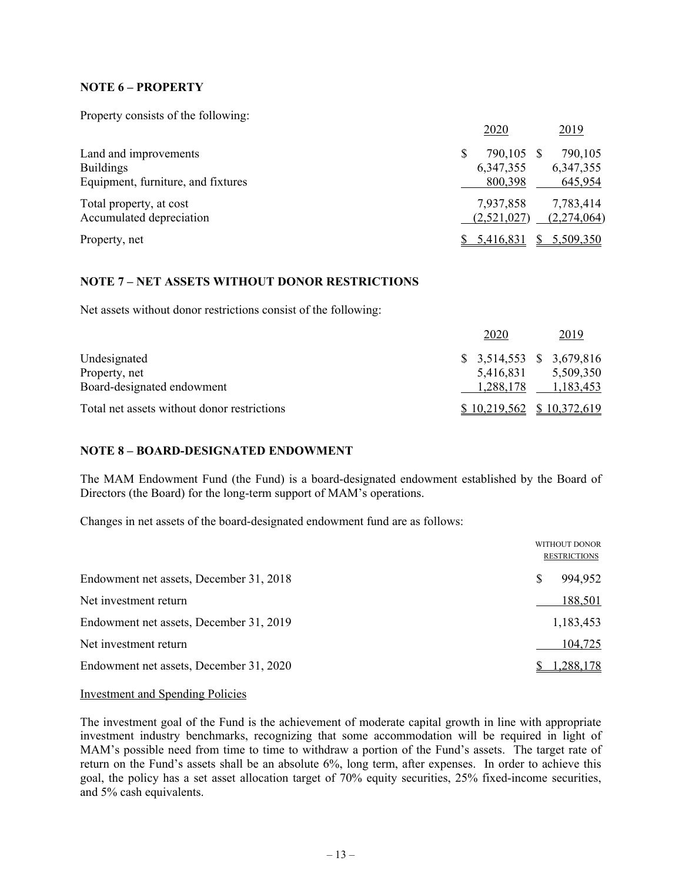#### **NOTE 6 – PROPERTY**

Property consists of the following:

|                                                     | 2020                          | 2019                     |
|-----------------------------------------------------|-------------------------------|--------------------------|
| Land and improvements<br><b>Buildings</b>           | \$<br>790,105 \$<br>6,347,355 | 790,105<br>6,347,355     |
| Equipment, furniture, and fixtures                  | 800,398                       | 645,954                  |
| Total property, at cost<br>Accumulated depreciation | 7,937,858<br>(2,521,027)      | 7,783,414<br>(2,274,064) |
| Property, net                                       | 5,416,831                     | 5,509,350                |

#### **NOTE 7 – NET ASSETS WITHOUT DONOR RESTRICTIONS**

Net assets without donor restrictions consist of the following:

|                                             | 2020                      | 2019                       |
|---------------------------------------------|---------------------------|----------------------------|
| Undesignated                                | $$3,514,553$ $$3,679,816$ |                            |
| Property, net                               | 5,416,831                 | 5,509,350                  |
| Board-designated endowment                  | 1,288,178                 | 1,183,453                  |
| Total net assets without donor restrictions |                           | $$10,219,562 \$10,372,619$ |

#### **NOTE 8 – BOARD-DESIGNATED ENDOWMENT**

The MAM Endowment Fund (the Fund) is a board-designated endowment established by the Board of Directors (the Board) for the long-term support of MAM's operations.

Changes in net assets of the board-designated endowment fund are as follows:

|                                         |   | WITHOUT DONOR<br><b>RESTRICTIONS</b> |
|-----------------------------------------|---|--------------------------------------|
| Endowment net assets, December 31, 2018 | S | 994,952                              |
| Net investment return                   |   | 188,501                              |
| Endowment net assets, December 31, 2019 |   | 1,183,453                            |
| Net investment return                   |   | 104,725                              |
| Endowment net assets, December 31, 2020 |   | 1,288,178                            |

Investment and Spending Policies

The investment goal of the Fund is the achievement of moderate capital growth in line with appropriate investment industry benchmarks, recognizing that some accommodation will be required in light of MAM's possible need from time to time to withdraw a portion of the Fund's assets. The target rate of return on the Fund's assets shall be an absolute 6%, long term, after expenses. In order to achieve this goal, the policy has a set asset allocation target of 70% equity securities, 25% fixed-income securities, and 5% cash equivalents.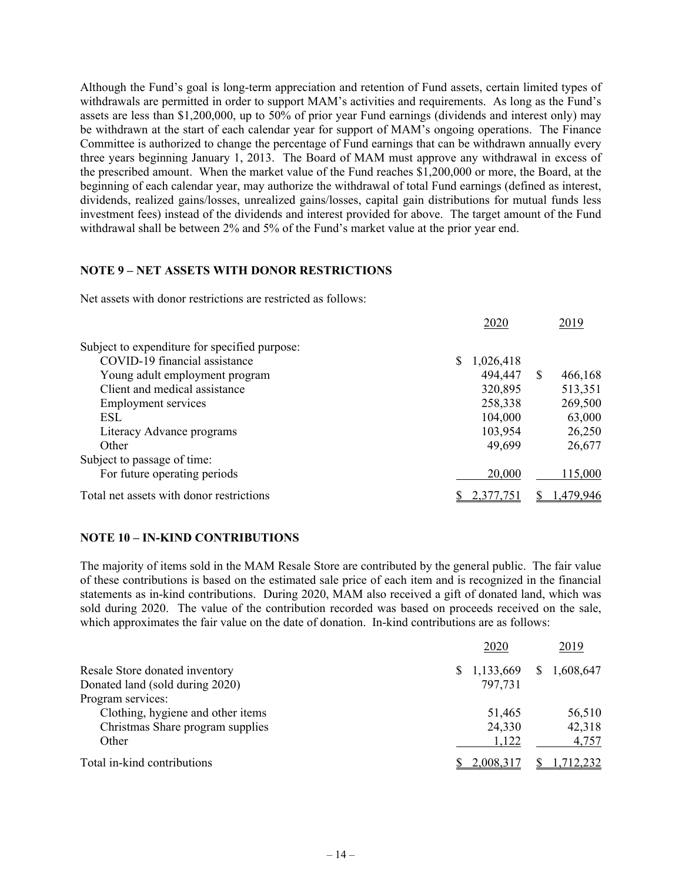Although the Fund's goal is long-term appreciation and retention of Fund assets, certain limited types of withdrawals are permitted in order to support MAM's activities and requirements. As long as the Fund's assets are less than \$1,200,000, up to 50% of prior year Fund earnings (dividends and interest only) may be withdrawn at the start of each calendar year for support of MAM's ongoing operations. The Finance Committee is authorized to change the percentage of Fund earnings that can be withdrawn annually every three years beginning January 1, 2013. The Board of MAM must approve any withdrawal in excess of the prescribed amount. When the market value of the Fund reaches \$1,200,000 or more, the Board, at the beginning of each calendar year, may authorize the withdrawal of total Fund earnings (defined as interest, dividends, realized gains/losses, unrealized gains/losses, capital gain distributions for mutual funds less investment fees) instead of the dividends and interest provided for above. The target amount of the Fund withdrawal shall be between 2% and 5% of the Fund's market value at the prior year end.

#### **NOTE 9 – NET ASSETS WITH DONOR RESTRICTIONS**

Net assets with donor restrictions are restricted as follows:

| 2020      | 2019          |
|-----------|---------------|
|           |               |
| 1,026,418 |               |
| 494,447   | -S<br>466,168 |
| 320,895   | 513,351       |
| 258,338   | 269,500       |
| 104,000   | 63,000        |
| 103,954   | 26,250        |
| 49,699    | 26,677        |
|           |               |
| 20,000    | 115,000       |
| 2,377,75  | 1,479,946     |
|           |               |

#### **NOTE 10 – IN-KIND CONTRIBUTIONS**

The majority of items sold in the MAM Resale Store are contributed by the general public. The fair value of these contributions is based on the estimated sale price of each item and is recognized in the financial statements as in-kind contributions. During 2020, MAM also received a gift of donated land, which was sold during 2020. The value of the contribution recorded was based on proceeds received on the sale, which approximates the fair value on the date of donation. In-kind contributions are as follows:

|                                   | 2020      |              | 2019      |
|-----------------------------------|-----------|--------------|-----------|
| Resale Store donated inventory    | 1,133,669 | <sup>S</sup> | 1,608,647 |
| Donated land (sold during 2020)   | 797,731   |              |           |
| Program services:                 |           |              |           |
| Clothing, hygiene and other items | 51,465    |              | 56,510    |
| Christmas Share program supplies  | 24,330    |              | 42,318    |
| Other                             | 1,122     |              | 4,757     |
| Total in-kind contributions       | 2,008,317 |              | 1,712,232 |